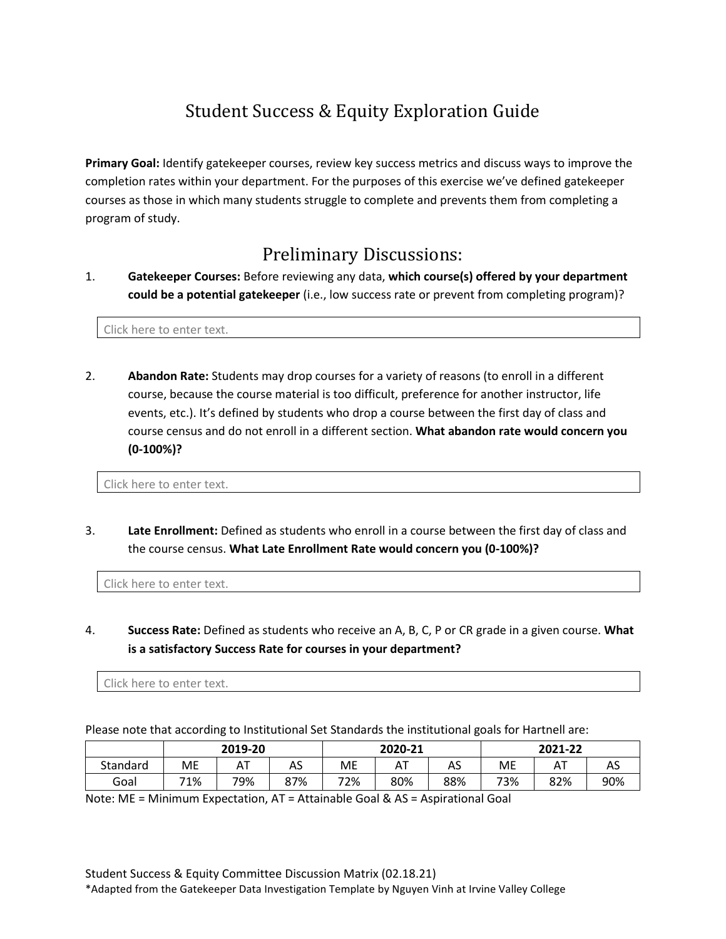## Student Success & Equity Exploration Guide

**Primary Goal:** Identify gatekeeper courses, review key success metrics and discuss ways to improve the completion rates within your department. For the purposes of this exercise we've defined gatekeeper courses as those in which many students struggle to complete and prevents them from completing a program of study.

## Preliminary Discussions:

1. **Gatekeeper Courses:** Before reviewing any data, **which course(s) offered by your department could be a potential gatekeeper** (i.e., low success rate or prevent from completing program)?

Click here to enter text.

2. **Abandon Rate:** Students may drop courses for a variety of reasons (to enroll in a different course, because the course material is too difficult, preference for another instructor, life events, etc.). It's defined by students who drop a course between the first day of class and course census and do not enroll in a different section. **What abandon rate would concern you (0-100%)?** 

Click here to enter text.

3. **Late Enrollment:** Defined as students who enroll in a course between the first day of class and the course census. **What Late Enrollment Rate would concern you (0-100%)?** 

Click here to enter text.

4. **Success Rate:** Defined as students who receive an A, B, C, P or CR grade in a given course. **What is a satisfactory Success Rate for courses in your department?**

Click here to enter text.

Please note that according to Institutional Set Standards the institutional goals for Hartnell are:

|          | 2019-20 |                        |     | 2020-21 |     |     | 2021-22 |     |     |
|----------|---------|------------------------|-----|---------|-----|-----|---------|-----|-----|
| Standard | МE      | $\Lambda$<br><b>11</b> | AS  | ME      | ΑT  | AS  | ME      | ΑT  | AS  |
| Goal     | 71%     | 79%                    | 87% | 72%     | 80% | 88% | 73%     | 82% | 90% |

Note: ME = Minimum Expectation, AT = Attainable Goal & AS = Aspirational Goal

\*Adapted from the Gatekeeper Data Investigation Template by Nguyen Vinh at Irvine Valley College